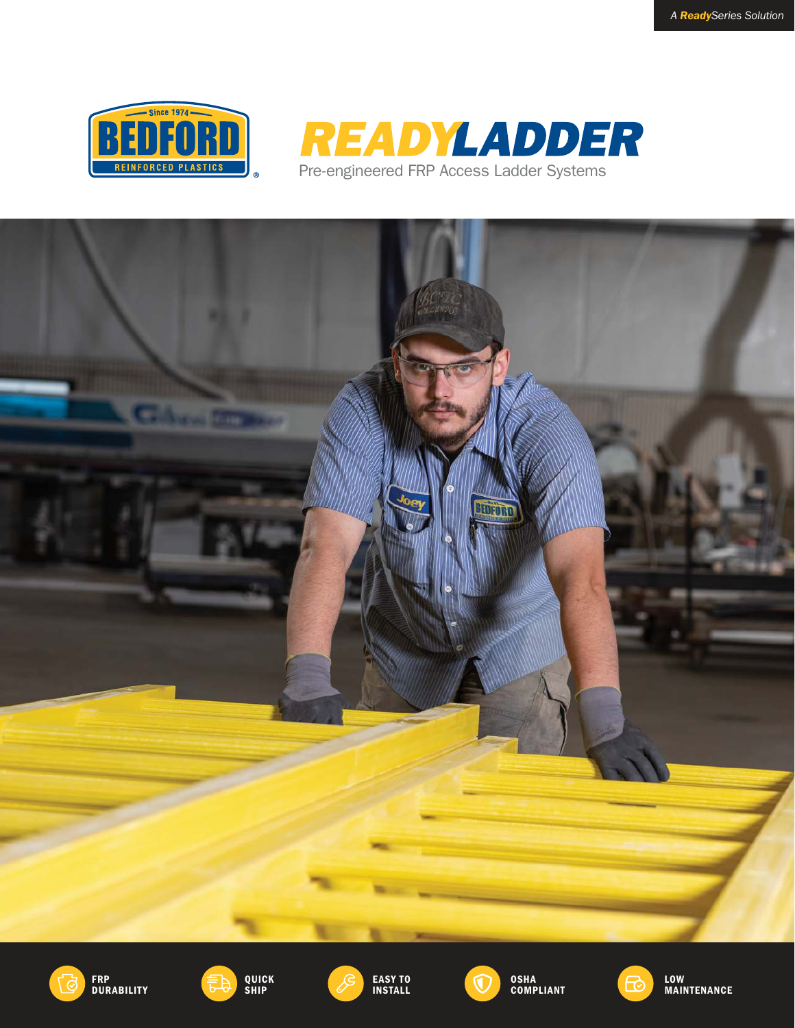











EASY TO INSTALL





LOW MAINTENANCE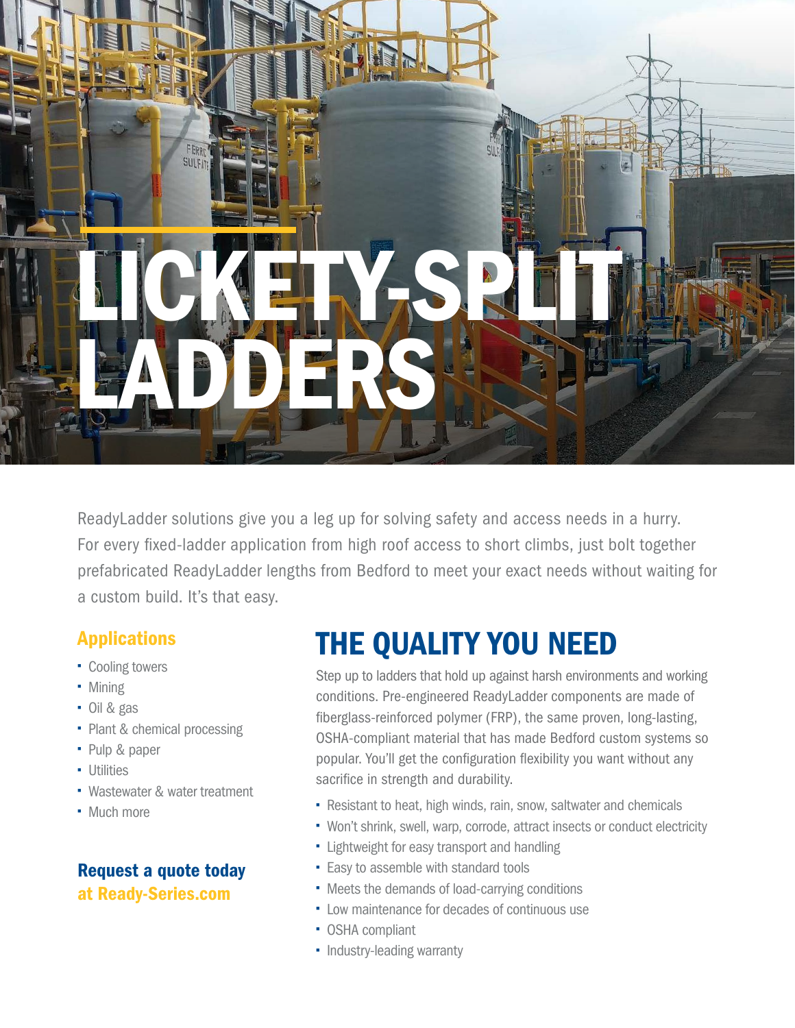# FERR **SULFA** LICKER SPILE LADDERS

ReadyLadder solutions give you a leg up for solving safety and access needs in a hurry. For every fixed-ladder application from high roof access to short climbs, just bolt together prefabricated ReadyLadder lengths from Bedford to meet your exact needs without waiting for a custom build. It's that easy.

### Applications

- Cooling towers
- Mining
- Oil & gas
- Plant & chemical processing
- Pulp & paper
- Utilities
- Wastewater & water treatment
- Much more

#### Request a quote today at Ready-Series.com

# THE QUALITY YOU NEED

Step up to ladders that hold up against harsh environments and working conditions. Pre-engineered ReadyLadder components are made of fiberglass-reinforced polymer (FRP), the same proven, long-lasting, OSHA-compliant material that has made Bedford custom systems so popular. You'll get the configuration flexibility you want without any sacrifice in strength and durability.

- Resistant to heat, high winds, rain, snow, saltwater and chemicals
- Won't shrink, swell, warp, corrode, attract insects or conduct electricity
- **-** Lightweight for easy transport and handling
- **Easy to assemble with standard tools**
- Meets the demands of load-carrying conditions
- Low maintenance for decades of continuous use
- OSHA compliant
- Industry-leading warranty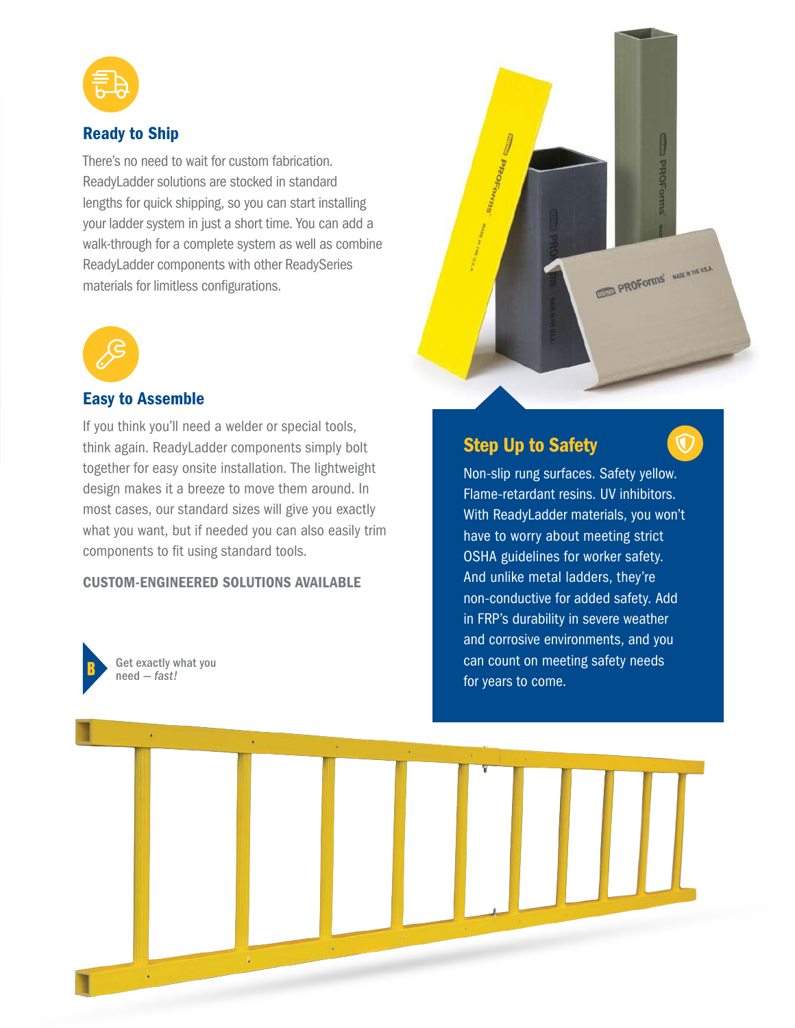

#### Ready to Ship

There's no need to wait for custom fabrication. ReadyLadder solutions are stocked in standard lengths for quick shipping, so you can start installing your ladder system in just a short time. You can add a walk-through for a complete system as well as combine ReadyLadder components with other ReadySeries materials for limitless configurations.



#### Easy to Assemble

If you think you'll need a welder or special tools, think again. ReadyLadder components simply bolt together for easy onsite installation. The lightweight design makes it a breeze to move them around. In most cases, our standard sizes will give you exactly what you want, but if needed you can also easily trim components to fit using standard tools.

#### CUSTOM-ENGINEERED SOLUTIONS AVAILABLE



Get exactly what you need — *fast!*



#### Step Up to Safety



Non-slip rung surfaces. Safety yellow. Flame-retardant resins. UV inhibitors. With ReadyLadder materials, you won't have to worry about meeting strict OSHA guidelines for worker safety. And unlike metal ladders, they're non-conductive for added safety. Add in FRP's durability in severe weather and corrosive environments, and you can count on meeting safety needs for years to come.